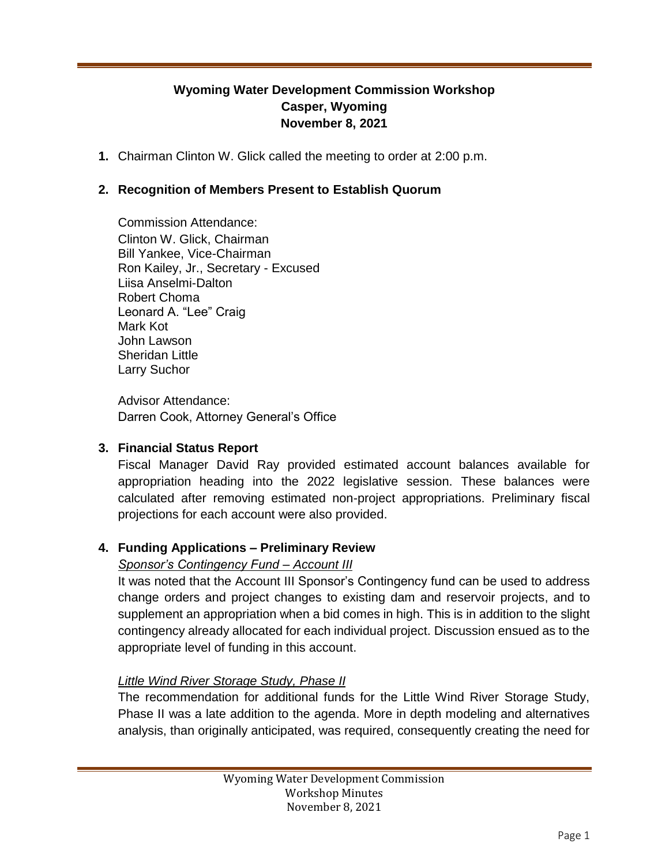# **Wyoming Water Development Commission Workshop Casper, Wyoming November 8, 2021**

**1.** Chairman Clinton W. Glick called the meeting to order at 2:00 p.m.

## **2. Recognition of Members Present to Establish Quorum**

Commission Attendance: Clinton W. Glick, Chairman Bill Yankee, Vice-Chairman Ron Kailey, Jr., Secretary - Excused Liisa Anselmi-Dalton Robert Choma Leonard A. "Lee" Craig Mark Kot John Lawson Sheridan Little Larry Suchor

Advisor Attendance: Darren Cook, Attorney General's Office

#### **3. Financial Status Report**

Fiscal Manager David Ray provided estimated account balances available for appropriation heading into the 2022 legislative session. These balances were calculated after removing estimated non-project appropriations. Preliminary fiscal projections for each account were also provided.

## **4. Funding Applications – Preliminary Review**

## *Sponsor's Contingency Fund – Account III*

It was noted that the Account III Sponsor's Contingency fund can be used to address change orders and project changes to existing dam and reservoir projects, and to supplement an appropriation when a bid comes in high. This is in addition to the slight contingency already allocated for each individual project. Discussion ensued as to the appropriate level of funding in this account.

#### *Little Wind River Storage Study, Phase II*

The recommendation for additional funds for the Little Wind River Storage Study, Phase II was a late addition to the agenda. More in depth modeling and alternatives analysis, than originally anticipated, was required, consequently creating the need for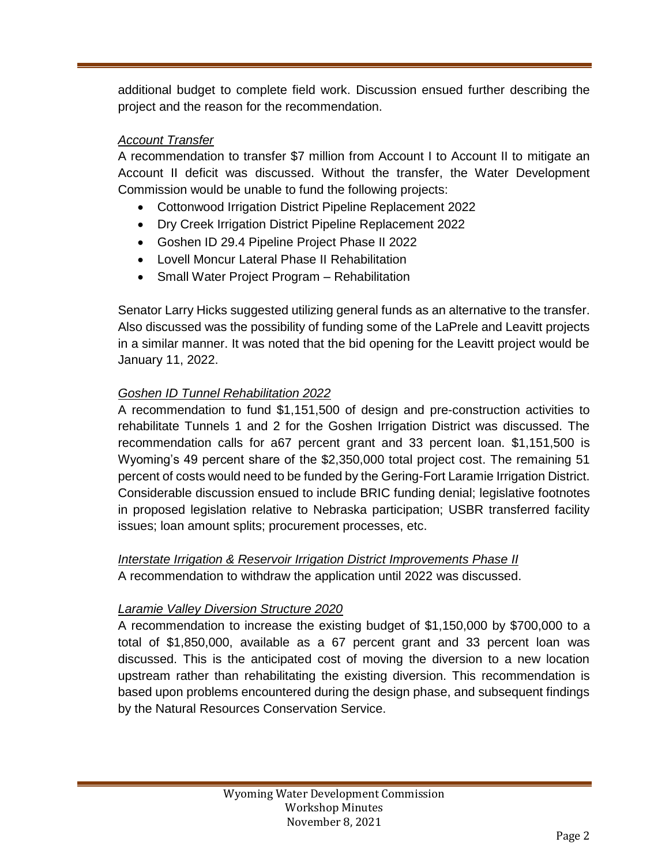additional budget to complete field work. Discussion ensued further describing the project and the reason for the recommendation.

## *Account Transfer*

A recommendation to transfer \$7 million from Account I to Account II to mitigate an Account II deficit was discussed. Without the transfer, the Water Development Commission would be unable to fund the following projects:

- Cottonwood Irrigation District Pipeline Replacement 2022
- Dry Creek Irrigation District Pipeline Replacement 2022
- Goshen ID 29.4 Pipeline Project Phase II 2022
- Lovell Moncur Lateral Phase II Rehabilitation
- Small Water Project Program Rehabilitation

Senator Larry Hicks suggested utilizing general funds as an alternative to the transfer. Also discussed was the possibility of funding some of the LaPrele and Leavitt projects in a similar manner. It was noted that the bid opening for the Leavitt project would be January 11, 2022.

## *Goshen ID Tunnel Rehabilitation 2022*

A recommendation to fund \$1,151,500 of design and pre-construction activities to rehabilitate Tunnels 1 and 2 for the Goshen Irrigation District was discussed. The recommendation calls for a67 percent grant and 33 percent loan. \$1,151,500 is Wyoming's 49 percent share of the \$2,350,000 total project cost. The remaining 51 percent of costs would need to be funded by the Gering-Fort Laramie Irrigation District. Considerable discussion ensued to include BRIC funding denial; legislative footnotes in proposed legislation relative to Nebraska participation; USBR transferred facility issues; loan amount splits; procurement processes, etc.

## *Interstate Irrigation & Reservoir Irrigation District Improvements Phase II* A recommendation to withdraw the application until 2022 was discussed.

## *Laramie Valley Diversion Structure 2020*

A recommendation to increase the existing budget of \$1,150,000 by \$700,000 to a total of \$1,850,000, available as a 67 percent grant and 33 percent loan was discussed. This is the anticipated cost of moving the diversion to a new location upstream rather than rehabilitating the existing diversion. This recommendation is based upon problems encountered during the design phase, and subsequent findings by the Natural Resources Conservation Service.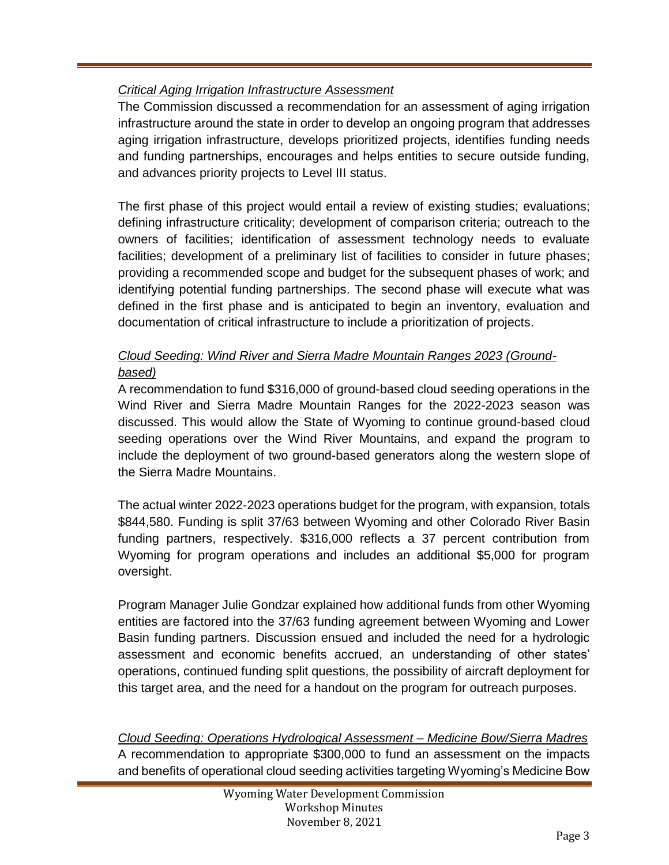# *Critical Aging Irrigation Infrastructure Assessment*

The Commission discussed a recommendation for an assessment of aging irrigation infrastructure around the state in order to develop an ongoing program that addresses aging irrigation infrastructure, develops prioritized projects, identifies funding needs and funding partnerships, encourages and helps entities to secure outside funding, and advances priority projects to Level III status.

The first phase of this project would entail a review of existing studies; evaluations; defining infrastructure criticality; development of comparison criteria; outreach to the owners of facilities; identification of assessment technology needs to evaluate facilities; development of a preliminary list of facilities to consider in future phases; providing a recommended scope and budget for the subsequent phases of work; and identifying potential funding partnerships. The second phase will execute what was defined in the first phase and is anticipated to begin an inventory, evaluation and documentation of critical infrastructure to include a prioritization of projects.

# *Cloud Seeding: Wind River and Sierra Madre Mountain Ranges 2023 (Groundbased)*

A recommendation to fund \$316,000 of ground-based cloud seeding operations in the Wind River and Sierra Madre Mountain Ranges for the 2022-2023 season was discussed. This would allow the State of Wyoming to continue ground-based cloud seeding operations over the Wind River Mountains, and expand the program to include the deployment of two ground-based generators along the western slope of the Sierra Madre Mountains.

The actual winter 2022-2023 operations budget for the program, with expansion, totals \$844,580. Funding is split 37/63 between Wyoming and other Colorado River Basin funding partners, respectively. \$316,000 reflects a 37 percent contribution from Wyoming for program operations and includes an additional \$5,000 for program oversight.

Program Manager Julie Gondzar explained how additional funds from other Wyoming entities are factored into the 37/63 funding agreement between Wyoming and Lower Basin funding partners. Discussion ensued and included the need for a hydrologic assessment and economic benefits accrued, an understanding of other states' operations, continued funding split questions, the possibility of aircraft deployment for this target area, and the need for a handout on the program for outreach purposes.

*Cloud Seeding: Operations Hydrological Assessment – Medicine Bow/Sierra Madres* A recommendation to appropriate \$300,000 to fund an assessment on the impacts and benefits of operational cloud seeding activities targeting Wyoming's Medicine Bow